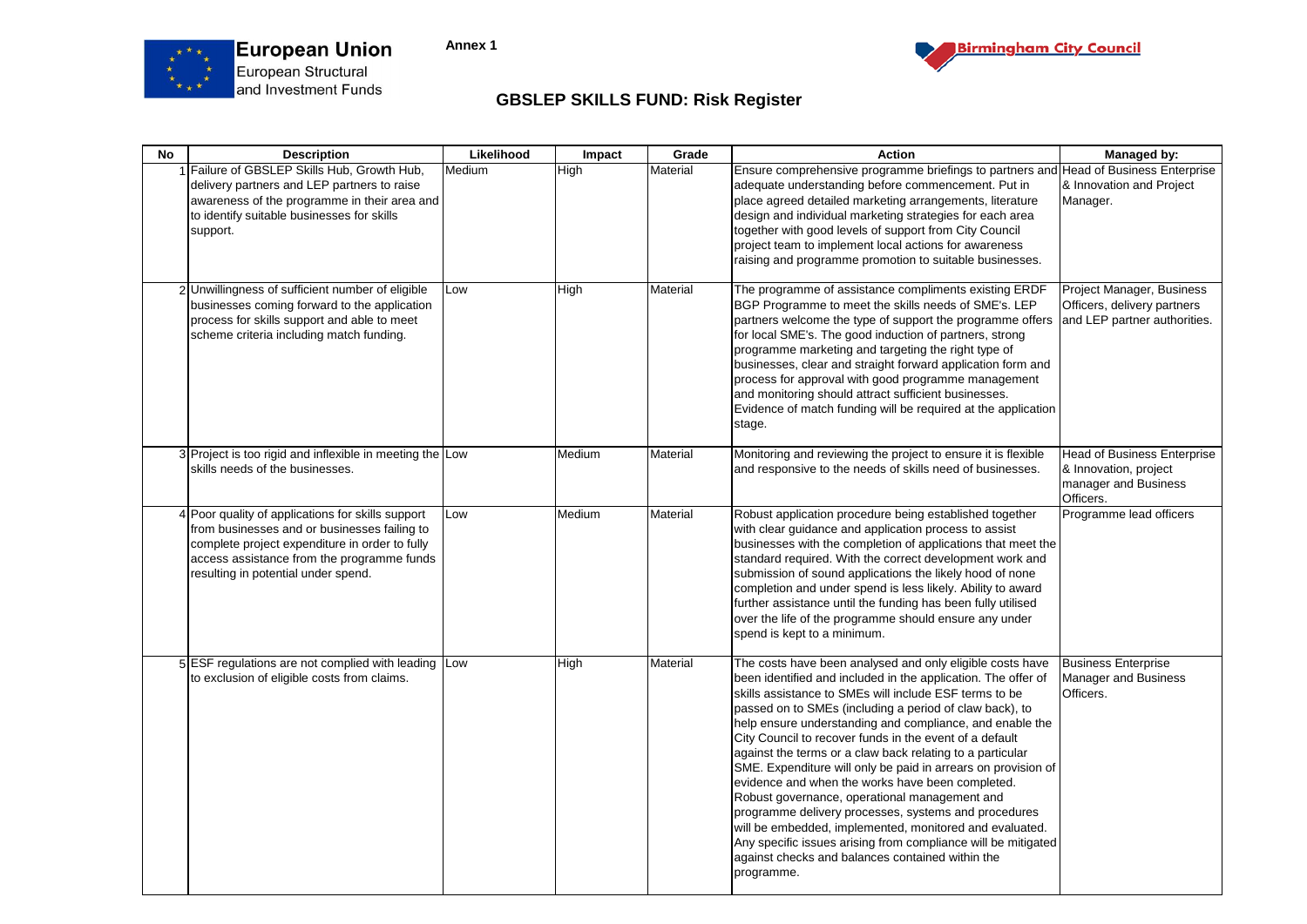



## **GBSLEP SKILLS FUND: Risk Register**

| <b>No</b> | <b>Description</b>                                                                                                                                                                                                                       | Likelihood | Impact | Grade    | <b>Action</b>                                                                                                                                                                                                                                                                                                                                                                                                                                                                                                                                                                                                                                                                                                                                                                                                                                                   | Managed by:                                                                                      |
|-----------|------------------------------------------------------------------------------------------------------------------------------------------------------------------------------------------------------------------------------------------|------------|--------|----------|-----------------------------------------------------------------------------------------------------------------------------------------------------------------------------------------------------------------------------------------------------------------------------------------------------------------------------------------------------------------------------------------------------------------------------------------------------------------------------------------------------------------------------------------------------------------------------------------------------------------------------------------------------------------------------------------------------------------------------------------------------------------------------------------------------------------------------------------------------------------|--------------------------------------------------------------------------------------------------|
|           | 1 Failure of GBSLEP Skills Hub, Growth Hub,<br>delivery partners and LEP partners to raise<br>awareness of the programme in their area and<br>to identify suitable businesses for skills<br>support.                                     | Medium     | High   | Material | Ensure comprehensive programme briefings to partners and Head of Business Enterprise<br>adequate understanding before commencement. Put in<br>place agreed detailed marketing arrangements, literature<br>design and individual marketing strategies for each area<br>together with good levels of support from City Council<br>project team to implement local actions for awareness<br>raising and programme promotion to suitable businesses.                                                                                                                                                                                                                                                                                                                                                                                                                | & Innovation and Project<br>Manager.                                                             |
|           | 2 Unwillingness of sufficient number of eligible<br>businesses coming forward to the application<br>process for skills support and able to meet<br>scheme criteria including match funding.                                              | Low        | High   | Material | The programme of assistance compliments existing ERDF<br>BGP Programme to meet the skills needs of SME's. LEP<br>partners welcome the type of support the programme offers<br>for local SME's. The good induction of partners, strong<br>programme marketing and targeting the right type of<br>businesses, clear and straight forward application form and<br>process for approval with good programme management<br>and monitoring should attract sufficient businesses.<br>Evidence of match funding will be required at the application<br>stage.                                                                                                                                                                                                                                                                                                           | Project Manager, Business<br>Officers, delivery partners<br>and LEP partner authorities.         |
|           | 3 Project is too rigid and inflexible in meeting the Low<br>skills needs of the businesses.                                                                                                                                              |            | Medium | Material | Monitoring and reviewing the project to ensure it is flexible<br>and responsive to the needs of skills need of businesses.                                                                                                                                                                                                                                                                                                                                                                                                                                                                                                                                                                                                                                                                                                                                      | <b>Head of Business Enterprise</b><br>& Innovation, project<br>manager and Business<br>Officers. |
|           | 4 Poor quality of applications for skills support<br>from businesses and or businesses failing to<br>complete project expenditure in order to fully<br>access assistance from the programme funds<br>resulting in potential under spend. | Low        | Medium | Material | Robust application procedure being established together<br>with clear guidance and application process to assist<br>businesses with the completion of applications that meet the<br>standard required. With the correct development work and<br>submission of sound applications the likely hood of none<br>completion and under spend is less likely. Ability to award<br>further assistance until the funding has been fully utilised<br>over the life of the programme should ensure any under<br>spend is kept to a minimum.                                                                                                                                                                                                                                                                                                                                | Programme lead officers                                                                          |
|           | 5 ESF regulations are not complied with leading Low<br>to exclusion of eligible costs from claims.                                                                                                                                       |            | High   | Material | The costs have been analysed and only eligible costs have<br>been identified and included in the application. The offer of<br>skills assistance to SMEs will include ESF terms to be<br>passed on to SMEs (including a period of claw back), to<br>help ensure understanding and compliance, and enable the<br>City Council to recover funds in the event of a default<br>against the terms or a claw back relating to a particular<br>SME. Expenditure will only be paid in arrears on provision of<br>evidence and when the works have been completed.<br>Robust governance, operational management and<br>programme delivery processes, systems and procedures<br>will be embedded, implemented, monitored and evaluated.<br>Any specific issues arising from compliance will be mitigated<br>against checks and balances contained within the<br>programme. | <b>Business Enterprise</b><br><b>Manager and Business</b><br>Officers.                           |